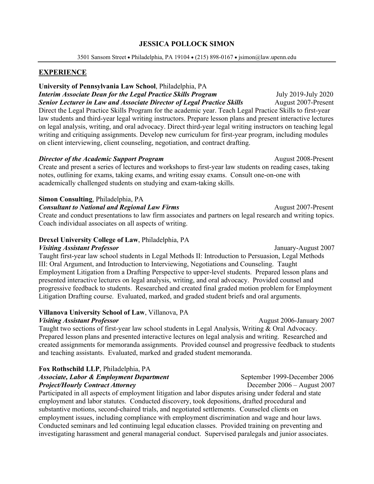### **JESSICA POLLOCK SIMON**

3501 Sansom Street • Philadelphia, PA 19104 • (215) 898-0167 • jsimon@law.upenn.edu

# **EXPERIENCE**

# **University of Pennsylvania Law School**, Philadelphia, PA

*Interim Associate Dean for the Legal Practice Skills Program* July 2019-July 2020 *Senior Lecturer in Law and Associate Director of Legal Practice Skills* August 2007-Present Direct the Legal Practice Skills Program for the academic year. Teach Legal Practice Skills to first-year law students and third-year legal writing instructors. Prepare lesson plans and present interactive lectures on legal analysis, writing, and oral advocacy. Direct third-year legal writing instructors on teaching legal writing and critiquing assignments. Develop new curriculum for first-year program, including modules on client interviewing, client counseling, negotiation, and contract drafting.

#### *Director of the Academic Support Program* August 2008-Present

Create and present a series of lectures and workshops to first-year law students on reading cases, taking notes, outlining for exams, taking exams, and writing essay exams. Consult one-on-one with academically challenged students on studying and exam-taking skills.

## **Simon Consulting**, Philadelphia, PA

**Consultant to National and Regional** *Law Firms* August 2007-Present

Create and conduct presentations to law firm associates and partners on legal research and writing topics. Coach individual associates on all aspects of writing.

# **Drexel University College of Law**, Philadelphia, PA

#### *Visiting Assistant Professor* January-August 2007

Taught first-year law school students in Legal Methods II: Introduction to Persuasion, Legal Methods III: Oral Argument, and Introduction to Interviewing, Negotiations and Counseling. Taught Employment Litigation from a Drafting Perspective to upper-level students. Prepared lesson plans and presented interactive lectures on legal analysis, writing, and oral advocacy. Provided counsel and progressive feedback to students. Researched and created final graded motion problem for Employment Litigation Drafting course. Evaluated, marked, and graded student briefs and oral arguments.

#### **Villanova University School of Law**, Villanova, PA

#### *Visiting Assistant Professor* August 2006-January 2007

Taught two sections of first-year law school students in Legal Analysis, Writing & Oral Advocacy. Prepared lesson plans and presented interactive lectures on legal analysis and writing. Researched and created assignments for memoranda assignments. Provided counsel and progressive feedback to students and teaching assistants. Evaluated, marked and graded student memoranda.

# **Fox Rothschild LLP**, Philadelphia, PA *Associate, Labor & Employment Department* September 1999-December 2006

### *Project/Hourly Contract Attorney* December 2006 – August 2007

Participated in all aspects of employment litigation and labor disputes arising under federal and state employment and labor statutes. Conducted discovery, took depositions, drafted procedural and substantive motions, second-chaired trials, and negotiated settlements. Counseled clients on employment issues, including compliance with employment discrimination and wage and hour laws. Conducted seminars and led continuing legal education classes. Provided training on preventing and investigating harassment and general managerial conduct. Supervised paralegals and junior associates.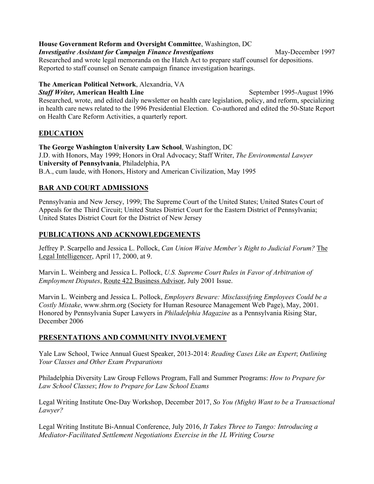**House Government Reform and Oversight Committee**, Washington, DC

## *Investigative Assistant for Campaign Finance Investigations* May-December 1997

Researched and wrote legal memoranda on the Hatch Act to prepare staff counsel for depositions. Reported to staff counsel on Senate campaign finance investigation hearings.

### **The American Political Network**, Alexandria, VA

*Staff Writer,* **American Health Line** September 1995-August 1996 Researched, wrote, and edited daily newsletter on health care legislation, policy, and reform, specializing in health care news related to the 1996 Presidential Election. Co-authored and edited the 50-State Report on Health Care Reform Activities, a quarterly report.

# **EDUCATION**

**The George Washington University Law School**, Washington, DC J.D. with Honors, May 1999; Honors in Oral Advocacy; Staff Writer, *The Environmental Lawyer* **University of Pennsylvania**, Philadelphia, PA B.A., cum laude, with Honors, History and American Civilization, May 1995

# **BAR AND COURT ADMISSIONS**

Pennsylvania and New Jersey, 1999; The Supreme Court of the United States; United States Court of Appeals for the Third Circuit; United States District Court for the Eastern District of Pennsylvania; United States District Court for the District of New Jersey

# **PUBLICATIONS AND ACKNOWLEDGEMENTS**

Jeffrey P. Scarpello and Jessica L. Pollock, *Can Union Waive Member's Right to Judicial Forum?* The Legal Intelligencer, April 17, 2000, at 9.

Marvin L. Weinberg and Jessica L. Pollock, *U.S. Supreme Court Rules in Favor of Arbitration of Employment Disputes*, Route 422 Business Advisor, July 2001 Issue.

Marvin L. Weinberg and Jessica L. Pollock, *Employers Beware: Misclassifying Employees Could be a Costly Mistake*, www.shrm.org (Society for Human Resource Management Web Page), May, 2001. Honored by Pennsylvania Super Lawyers in *Philadelphia Magazine* as a Pennsylvania Rising Star, December 2006

# **PRESENTATIONS AND COMMUNITY INVOLVEMENT**

Yale Law School, Twice Annual Guest Speaker, 2013-2014: *Reading Cases Like an Expert*; *Outlining Your Classes and Other Exam Preparations*

Philadelphia Diversity Law Group Fellows Program, Fall and Summer Programs: *How to Prepare for Law School Classes*; *How to Prepare for Law School Exams*

Legal Writing Institute One-Day Workshop, December 2017, *So You (Might) Want to be a Transactional Lawyer?*

Legal Writing Institute Bi-Annual Conference, July 2016, *It Takes Three to Tango: Introducing a Mediator-Facilitated Settlement Negotiations Exercise in the 1L Writing Course*